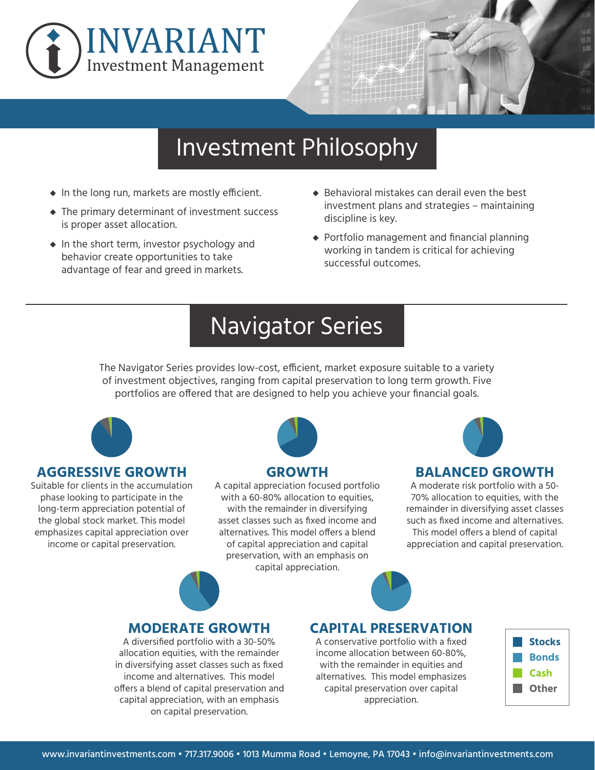



## Investment Philosophy

- **◆** In the long run, markets are mostly efficient.
- **◆** The primary determinant of investment success is proper asset allocation.
- **◆** In the short term, investor psychology and behavior create opportunities to take advantage of fear and greed in markets.
- ◆ Behavioral mistakes can derail even the best investment plans and strategies – maintaining discipline is key.
- **◆** Portfolio management and financial planning working in tandem is critical for achieving successful outcomes.

# Navigator Series

The Navigator Series provides low-cost, efficient, market exposure suitable to a variety of investment objectives, ranging from capital preservation to long term growth. Five portfolios are offered that are designed to help you achieve your financial goals.



#### **AGGRESSIVE GROWTH**

Suitable for clients in the accumulation phase looking to participate in the long-term appreciation potential of the global stock market. This model emphasizes capital appreciation over income or capital preservation.



#### **GROWTH**

A capital appreciation focused portfolio with a 60-80% allocation to equities, with the remainder in diversifying asset classes such as fixed income and alternatives. This model offers a blend of capital appreciation and capital preservation, with an emphasis on capital appreciation.



#### **BALANCED GROWTH**

A moderate risk portfolio with a 50- 70% allocation to equities, with the remainder in diversifying asset classes such as fixed income and alternatives. This model offers a blend of capital appreciation and capital preservation.



#### **MODERATE GROWTH**

A diversified portfolio with a 30-50% allocation equities, with the remainder in diversifying asset classes such as fixed income and alternatives. This model offers a blend of capital preservation and capital appreciation, with an emphasis on capital preservation.

### **CAPITAL PRESERVATION**

A conservative portfolio with a fixed income allocation between 60-80%, with the remainder in equities and alternatives. This model emphasizes capital preservation over capital appreciation.

| <b>Stocks</b> |
|---------------|
| <b>Bonds</b>  |
| Cash          |
| <b>Other</b>  |
|               |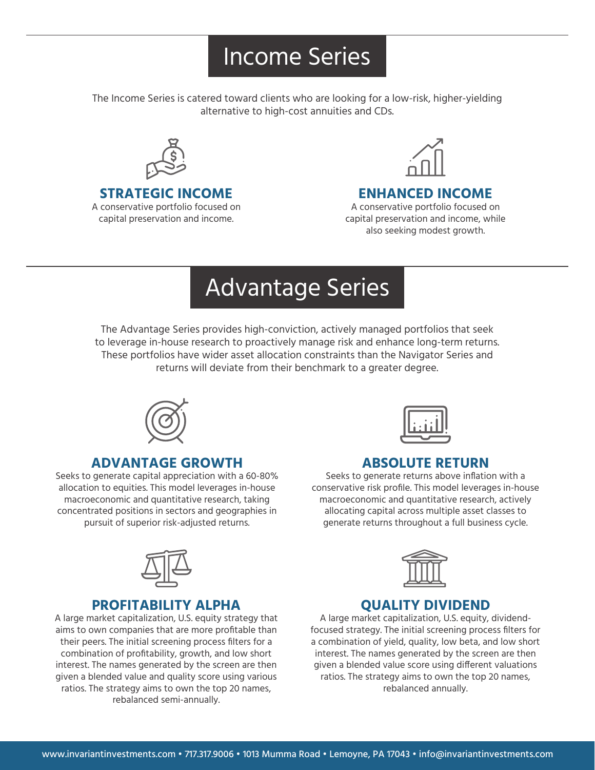# Income Series

The Income Series is catered toward clients who are looking for a low-risk, higher-yielding alternative to high-cost annuities and CDs.



#### **STRATEGIC INCOME**

A conservative portfolio focused on capital preservation and income.



### **ENHANCED INCOME**

A conservative portfolio focused on capital preservation and income, while also seeking modest growth.

# Advantage Series

The Advantage Series provides high-conviction, actively managed portfolios that seek to leverage in-house research to proactively manage risk and enhance long-term returns. These portfolios have wider asset allocation constraints than the Navigator Series and returns will deviate from their benchmark to a greater degree.



#### **ADVANTAGE GROWTH**

Seeks to generate capital appreciation with a 60-80% allocation to equities. This model leverages in-house macroeconomic and quantitative research, taking concentrated positions in sectors and geographies in pursuit of superior risk-adjusted returns.



#### **PROFITABILITY ALPHA**

A large market capitalization, U.S. equity strategy that aims to own companies that are more profitable than their peers. The initial screening process filters for a combination of profitability, growth, and low short interest. The names generated by the screen are then given a blended value and quality score using various ratios. The strategy aims to own the top 20 names, rebalanced semi-annually.



#### **ABSOLUTE RETURN**

Seeks to generate returns above inflation with a conservative risk profile. This model leverages in-house macroeconomic and quantitative research, actively allocating capital across multiple asset classes to generate returns throughout a full business cycle.



#### **QUALITY DIVIDEND**

A large market capitalization, U.S. equity, dividendfocused strategy. The initial screening process filters for a combination of yield, quality, low beta, and low short interest. The names generated by the screen are then given a blended value score using different valuations ratios. The strategy aims to own the top 20 names, rebalanced annually.